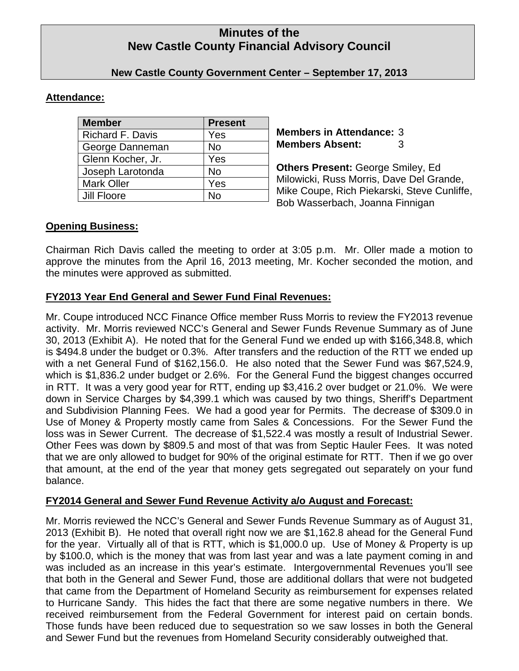# **Minutes of the New Castle County Financial Advisory Council**

# **New Castle County Government Center – September 17, 2013**

### **Attendance:**

| <b>Member</b>           | <b>Present</b> |
|-------------------------|----------------|
| <b>Richard F. Davis</b> | Yes            |
| George Danneman         | <b>No</b>      |
| Glenn Kocher, Jr.       | Yes            |
| Joseph Larotonda        | No             |
| <b>Mark Oller</b>       | Yes            |
| Jill Floore             | N٥             |

**Members in Attendance:** 3 **Members Absent:** 3

**Others Present:** George Smiley, Ed Milowicki, Russ Morris, Dave Del Grande, Mike Coupe, Rich Piekarski, Steve Cunliffe, Bob Wasserbach, Joanna Finnigan

# **Opening Business:**

Chairman Rich Davis called the meeting to order at 3:05 p.m. Mr. Oller made a motion to approve the minutes from the April 16, 2013 meeting, Mr. Kocher seconded the motion, and the minutes were approved as submitted.

# **FY2013 Year End General and Sewer Fund Final Revenues:**

Mr. Coupe introduced NCC Finance Office member Russ Morris to review the FY2013 revenue activity. Mr. Morris reviewed NCC's General and Sewer Funds Revenue Summary as of June 30, 2013 (Exhibit A). He noted that for the General Fund we ended up with \$166,348.8, which is \$494.8 under the budget or 0.3%. After transfers and the reduction of the RTT we ended up with a net General Fund of \$162,156.0. He also noted that the Sewer Fund was \$67,524.9, which is \$1,836.2 under budget or 2.6%. For the General Fund the biggest changes occurred in RTT. It was a very good year for RTT, ending up \$3,416.2 over budget or 21.0%. We were down in Service Charges by \$4,399.1 which was caused by two things, Sheriff's Department and Subdivision Planning Fees. We had a good year for Permits. The decrease of \$309.0 in Use of Money & Property mostly came from Sales & Concessions. For the Sewer Fund the loss was in Sewer Current. The decrease of \$1,522.4 was mostly a result of Industrial Sewer. Other Fees was down by \$809.5 and most of that was from Septic Hauler Fees. It was noted that we are only allowed to budget for 90% of the original estimate for RTT. Then if we go over that amount, at the end of the year that money gets segregated out separately on your fund balance.

# **FY2014 General and Sewer Fund Revenue Activity a/o August and Forecast:**

Mr. Morris reviewed the NCC's General and Sewer Funds Revenue Summary as of August 31, 2013 (Exhibit B). He noted that overall right now we are \$1,162.8 ahead for the General Fund for the year. Virtually all of that is RTT, which is \$1,000.0 up. Use of Money & Property is up by \$100.0, which is the money that was from last year and was a late payment coming in and was included as an increase in this year's estimate. Intergovernmental Revenues you'll see that both in the General and Sewer Fund, those are additional dollars that were not budgeted that came from the Department of Homeland Security as reimbursement for expenses related to Hurricane Sandy. This hides the fact that there are some negative numbers in there. We received reimbursement from the Federal Government for interest paid on certain bonds. Those funds have been reduced due to sequestration so we saw losses in both the General and Sewer Fund but the revenues from Homeland Security considerably outweighed that.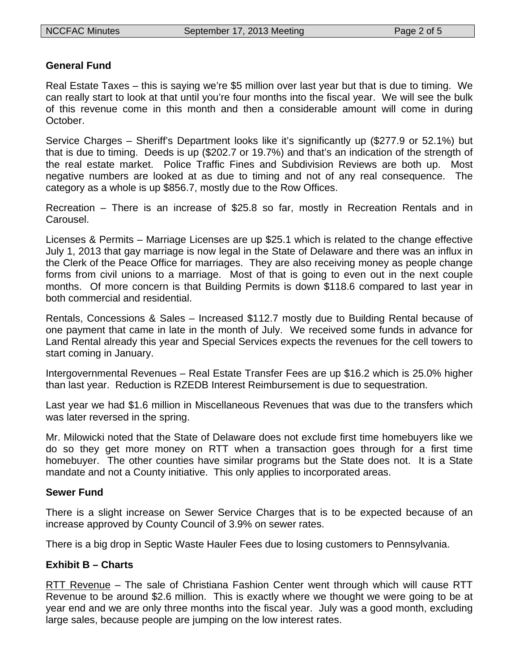### **General Fund**

Real Estate Taxes – this is saying we're \$5 million over last year but that is due to timing. We can really start to look at that until you're four months into the fiscal year. We will see the bulk of this revenue come in this month and then a considerable amount will come in during October.

Service Charges – Sheriff's Department looks like it's significantly up (\$277.9 or 52.1%) but that is due to timing. Deeds is up (\$202.7 or 19.7%) and that's an indication of the strength of the real estate market. Police Traffic Fines and Subdivision Reviews are both up. Most negative numbers are looked at as due to timing and not of any real consequence. The category as a whole is up \$856.7, mostly due to the Row Offices.

Recreation – There is an increase of \$25.8 so far, mostly in Recreation Rentals and in Carousel.

Licenses & Permits – Marriage Licenses are up \$25.1 which is related to the change effective July 1, 2013 that gay marriage is now legal in the State of Delaware and there was an influx in the Clerk of the Peace Office for marriages. They are also receiving money as people change forms from civil unions to a marriage. Most of that is going to even out in the next couple months. Of more concern is that Building Permits is down \$118.6 compared to last year in both commercial and residential.

Rentals, Concessions & Sales – Increased \$112.7 mostly due to Building Rental because of one payment that came in late in the month of July. We received some funds in advance for Land Rental already this year and Special Services expects the revenues for the cell towers to start coming in January.

Intergovernmental Revenues – Real Estate Transfer Fees are up \$16.2 which is 25.0% higher than last year. Reduction is RZEDB Interest Reimbursement is due to sequestration.

Last year we had \$1.6 million in Miscellaneous Revenues that was due to the transfers which was later reversed in the spring.

Mr. Milowicki noted that the State of Delaware does not exclude first time homebuyers like we do so they get more money on RTT when a transaction goes through for a first time homebuyer. The other counties have similar programs but the State does not. It is a State mandate and not a County initiative. This only applies to incorporated areas.

#### **Sewer Fund**

There is a slight increase on Sewer Service Charges that is to be expected because of an increase approved by County Council of 3.9% on sewer rates.

There is a big drop in Septic Waste Hauler Fees due to losing customers to Pennsylvania.

#### **Exhibit B – Charts**

RTT Revenue – The sale of Christiana Fashion Center went through which will cause RTT Revenue to be around \$2.6 million. This is exactly where we thought we were going to be at year end and we are only three months into the fiscal year. July was a good month, excluding large sales, because people are jumping on the low interest rates.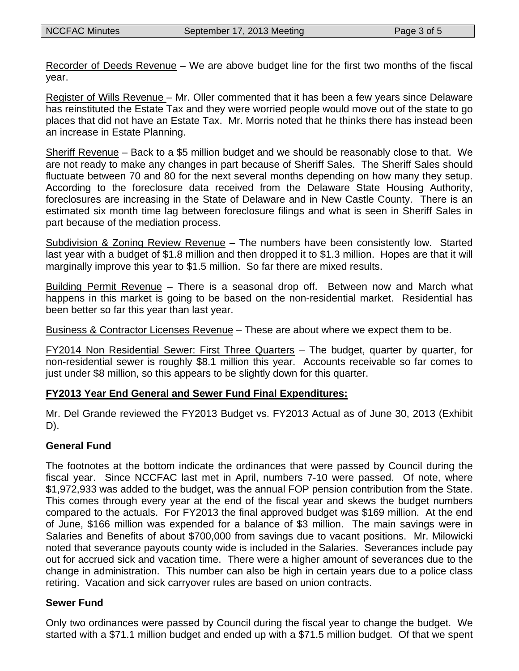Recorder of Deeds Revenue – We are above budget line for the first two months of the fiscal year.

Register of Wills Revenue - Mr. Oller commented that it has been a few years since Delaware has reinstituted the Estate Tax and they were worried people would move out of the state to go places that did not have an Estate Tax. Mr. Morris noted that he thinks there has instead been an increase in Estate Planning.

Sheriff Revenue – Back to a \$5 million budget and we should be reasonably close to that. We are not ready to make any changes in part because of Sheriff Sales. The Sheriff Sales should fluctuate between 70 and 80 for the next several months depending on how many they setup. According to the foreclosure data received from the Delaware State Housing Authority, foreclosures are increasing in the State of Delaware and in New Castle County. There is an estimated six month time lag between foreclosure filings and what is seen in Sheriff Sales in part because of the mediation process.

Subdivision & Zoning Review Revenue – The numbers have been consistently low. Started last year with a budget of \$1.8 million and then dropped it to \$1.3 million. Hopes are that it will marginally improve this year to \$1.5 million. So far there are mixed results.

Building Permit Revenue – There is a seasonal drop off. Between now and March what happens in this market is going to be based on the non-residential market. Residential has been better so far this year than last year.

Business & Contractor Licenses Revenue – These are about where we expect them to be.

FY2014 Non Residential Sewer: First Three Quarters – The budget, quarter by quarter, for non-residential sewer is roughly \$8.1 million this year. Accounts receivable so far comes to just under \$8 million, so this appears to be slightly down for this quarter.

# **FY2013 Year End General and Sewer Fund Final Expenditures:**

Mr. Del Grande reviewed the FY2013 Budget vs. FY2013 Actual as of June 30, 2013 (Exhibit D).

# **General Fund**

The footnotes at the bottom indicate the ordinances that were passed by Council during the fiscal year. Since NCCFAC last met in April, numbers 7-10 were passed. Of note, where \$1,972,933 was added to the budget, was the annual FOP pension contribution from the State. This comes through every year at the end of the fiscal year and skews the budget numbers compared to the actuals. For FY2013 the final approved budget was \$169 million. At the end of June, \$166 million was expended for a balance of \$3 million. The main savings were in Salaries and Benefits of about \$700,000 from savings due to vacant positions. Mr. Milowicki noted that severance payouts county wide is included in the Salaries. Severances include pay out for accrued sick and vacation time. There were a higher amount of severances due to the change in administration. This number can also be high in certain years due to a police class retiring. Vacation and sick carryover rules are based on union contracts.

#### **Sewer Fund**

Only two ordinances were passed by Council during the fiscal year to change the budget. We started with a \$71.1 million budget and ended up with a \$71.5 million budget. Of that we spent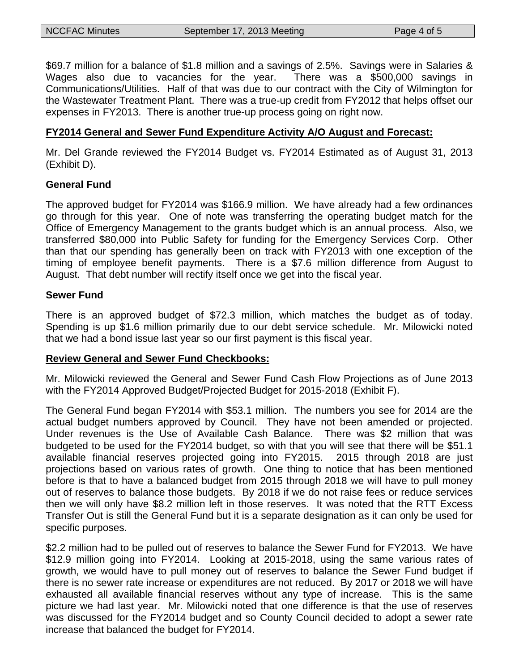\$69.7 million for a balance of \$1.8 million and a savings of 2.5%. Savings were in Salaries & Wages also due to vacancies for the year. There was a \$500,000 savings in Communications/Utilities. Half of that was due to our contract with the City of Wilmington for the Wastewater Treatment Plant. There was a true-up credit from FY2012 that helps offset our expenses in FY2013. There is another true-up process going on right now.

### **FY2014 General and Sewer Fund Expenditure Activity A/O August and Forecast:**

Mr. Del Grande reviewed the FY2014 Budget vs. FY2014 Estimated as of August 31, 2013 (Exhibit D).

### **General Fund**

The approved budget for FY2014 was \$166.9 million. We have already had a few ordinances go through for this year. One of note was transferring the operating budget match for the Office of Emergency Management to the grants budget which is an annual process. Also, we transferred \$80,000 into Public Safety for funding for the Emergency Services Corp. Other than that our spending has generally been on track with FY2013 with one exception of the timing of employee benefit payments. There is a \$7.6 million difference from August to August. That debt number will rectify itself once we get into the fiscal year.

#### **Sewer Fund**

There is an approved budget of \$72.3 million, which matches the budget as of today. Spending is up \$1.6 million primarily due to our debt service schedule. Mr. Milowicki noted that we had a bond issue last year so our first payment is this fiscal year.

#### **Review General and Sewer Fund Checkbooks:**

Mr. Milowicki reviewed the General and Sewer Fund Cash Flow Projections as of June 2013 with the FY2014 Approved Budget/Projected Budget for 2015-2018 (Exhibit F).

The General Fund began FY2014 with \$53.1 million. The numbers you see for 2014 are the actual budget numbers approved by Council. They have not been amended or projected. Under revenues is the Use of Available Cash Balance. There was \$2 million that was budgeted to be used for the FY2014 budget, so with that you will see that there will be \$51.1 available financial reserves projected going into FY2015. 2015 through 2018 are just projections based on various rates of growth. One thing to notice that has been mentioned before is that to have a balanced budget from 2015 through 2018 we will have to pull money out of reserves to balance those budgets. By 2018 if we do not raise fees or reduce services then we will only have \$8.2 million left in those reserves. It was noted that the RTT Excess Transfer Out is still the General Fund but it is a separate designation as it can only be used for specific purposes.

\$2.2 million had to be pulled out of reserves to balance the Sewer Fund for FY2013. We have \$12.9 million going into FY2014. Looking at 2015-2018, using the same various rates of growth, we would have to pull money out of reserves to balance the Sewer Fund budget if there is no sewer rate increase or expenditures are not reduced. By 2017 or 2018 we will have exhausted all available financial reserves without any type of increase. This is the same picture we had last year. Mr. Milowicki noted that one difference is that the use of reserves was discussed for the FY2014 budget and so County Council decided to adopt a sewer rate increase that balanced the budget for FY2014.